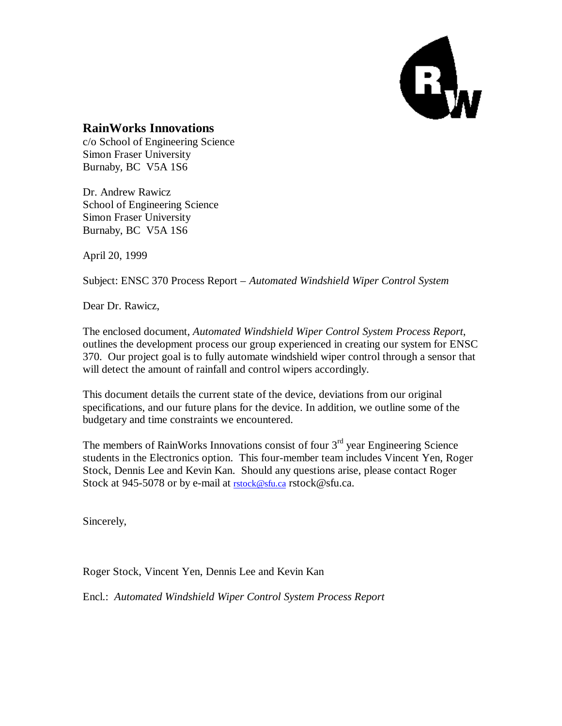

#### **RainWorks Innovations**

c/o School of Engineering Science Simon Fraser University Burnaby, BC V5A 1S6

Dr. Andrew Rawicz School of Engineering Science Simon Fraser University Burnaby, BC V5A 1S6

April 20, 1999

Subject: ENSC 370 Process Report – *Automated Windshield Wiper Control System*

Dear Dr. Rawicz,

The enclosed document, *Automated Windshield Wiper Control System Process Report*, outlines the development process our group experienced in creating our system for ENSC 370. Our project goal is to fully automate windshield wiper control through a sensor that will detect the amount of rainfall and control wipers accordingly.

This document details the current state of the device, deviations from our original specifications, and our future plans for the device. In addition, we outline some of the budgetary and time constraints we encountered.

The members of RainWorks Innovations consist of four  $3<sup>rd</sup>$  year Engineering Science students in the Electronics option. This four-member team includes Vincent Yen, Roger Stock, Dennis Lee and Kevin Kan. Should any questions arise, please contact Roger Stock at 945-5078 or by e-mail at **rstock@sfu.ca** rstock@sfu.ca.

Sincerely,

Roger Stock, Vincent Yen, Dennis Lee and Kevin Kan

Encl.: *Automated Windshield Wiper Control System Process Report*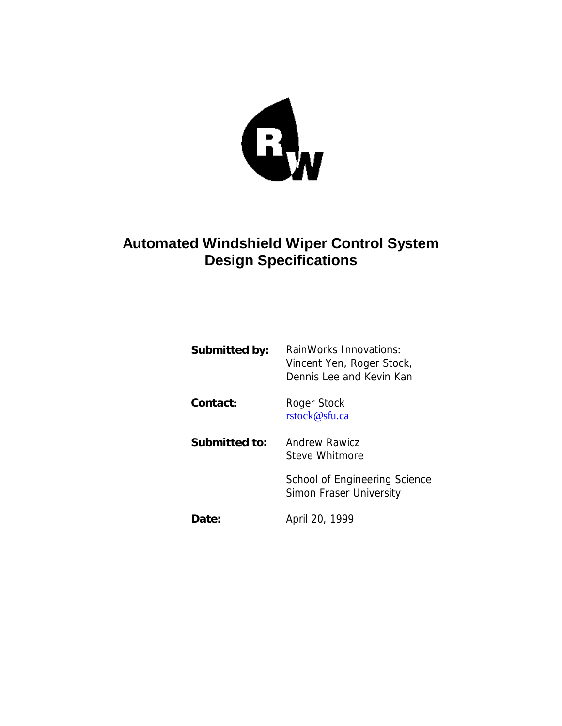

# **Automated Windshield Wiper Control System Design Specifications**

| Submitted by: | RainWorks Innovations:<br>Vincent Yen, Roger Stock,<br>Dennis Lee and Kevin Kan |
|---------------|---------------------------------------------------------------------------------|
| Contact:      | Roger Stock<br>rstock@sfu.ca                                                    |
| Submitted to: | Andrew Rawicz<br>Steve Whitmore                                                 |
|               | School of Engineering Science<br>Simon Fraser University                        |
| Date:         | April 20, 1999                                                                  |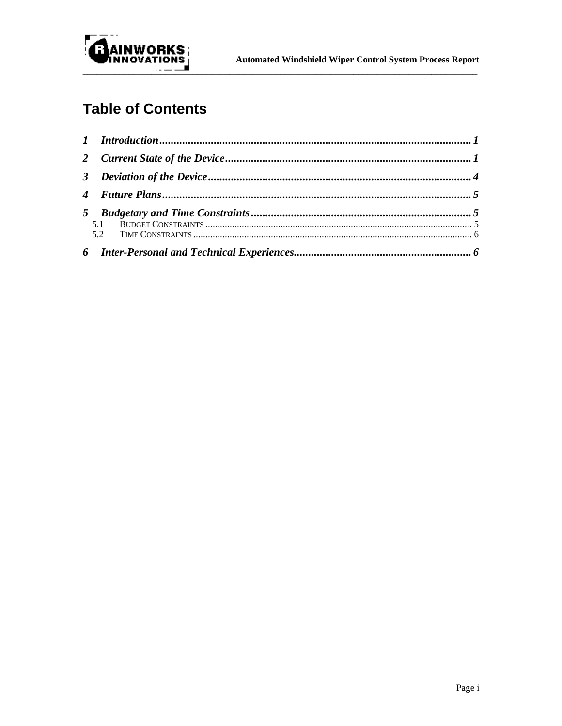

# **Table of Contents**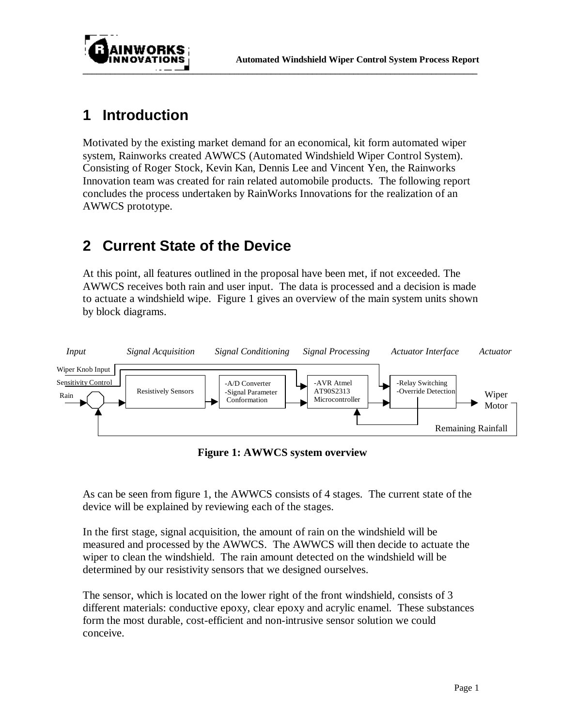

### **1 Introduction**

Motivated by the existing market demand for an economical, kit form automated wiper system, Rainworks created AWWCS (Automated Windshield Wiper Control System). Consisting of Roger Stock, Kevin Kan, Dennis Lee and Vincent Yen, the Rainworks Innovation team was created for rain related automobile products. The following report concludes the process undertaken by RainWorks Innovations for the realization of an AWWCS prototype.

# **2 Current State of the Device**

At this point, all features outlined in the proposal have been met, if not exceeded. The AWWCS receives both rain and user input. The data is processed and a decision is made to actuate a windshield wipe. Figure 1 gives an overview of the main system units shown by block diagrams.



**Figure 1: AWWCS system overview**

As can be seen from figure 1, the AWWCS consists of 4 stages. The current state of the device will be explained by reviewing each of the stages.

In the first stage, signal acquisition, the amount of rain on the windshield will be measured and processed by the AWWCS. The AWWCS will then decide to actuate the wiper to clean the windshield. The rain amount detected on the windshield will be determined by our resistivity sensors that we designed ourselves.

The sensor, which is located on the lower right of the front windshield, consists of 3 different materials: conductive epoxy, clear epoxy and acrylic enamel. These substances form the most durable, cost-efficient and non-intrusive sensor solution we could conceive.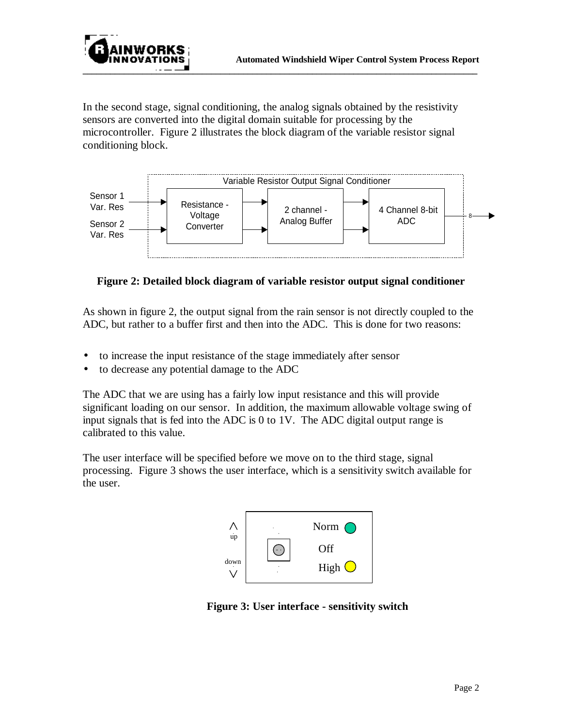

In the second stage, signal conditioning, the analog signals obtained by the resistivity sensors are converted into the digital domain suitable for processing by the microcontroller. Figure 2 illustrates the block diagram of the variable resistor signal conditioning block.



**Figure 2: Detailed block diagram of variable resistor output signal conditioner**

As shown in figure 2, the output signal from the rain sensor is not directly coupled to the ADC, but rather to a buffer first and then into the ADC. This is done for two reasons:

- to increase the input resistance of the stage immediately after sensor
- to decrease any potential damage to the ADC

The ADC that we are using has a fairly low input resistance and this will provide significant loading on our sensor. In addition, the maximum allowable voltage swing of input signals that is fed into the ADC is 0 to 1V. The ADC digital output range is calibrated to this value.

The user interface will be specified before we move on to the third stage, signal processing. Figure 3 shows the user interface, which is a sensitivity switch available for the user.



**Figure 3: User interface - sensitivity switch**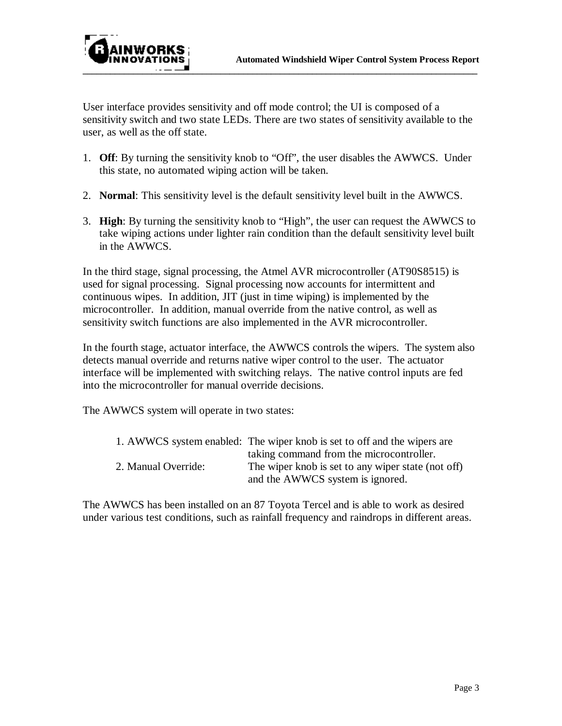

User interface provides sensitivity and off mode control; the UI is composed of a sensitivity switch and two state LEDs. There are two states of sensitivity available to the user, as well as the off state.

- 1. **Off**: By turning the sensitivity knob to "Off", the user disables the AWWCS. Under this state, no automated wiping action will be taken.
- 2. **Normal**: This sensitivity level is the default sensitivity level built in the AWWCS.
- 3. **High**: By turning the sensitivity knob to "High", the user can request the AWWCS to take wiping actions under lighter rain condition than the default sensitivity level built in the AWWCS.

In the third stage, signal processing, the Atmel AVR microcontroller (AT90S8515) is used for signal processing. Signal processing now accounts for intermittent and continuous wipes. In addition, JIT (just in time wiping) is implemented by the microcontroller. In addition, manual override from the native control, as well as sensitivity switch functions are also implemented in the AVR microcontroller.

In the fourth stage, actuator interface, the AWWCS controls the wipers. The system also detects manual override and returns native wiper control to the user. The actuator interface will be implemented with switching relays. The native control inputs are fed into the microcontroller for manual override decisions.

The AWWCS system will operate in two states:

|                     | 1. AWWCS system enabled: The wiper knob is set to off and the wipers are |
|---------------------|--------------------------------------------------------------------------|
|                     | taking command from the microcontroller.                                 |
| 2. Manual Override: | The wiper knob is set to any wiper state (not off)                       |
|                     | and the AWWCS system is ignored.                                         |

The AWWCS has been installed on an 87 Toyota Tercel and is able to work as desired under various test conditions, such as rainfall frequency and raindrops in different areas.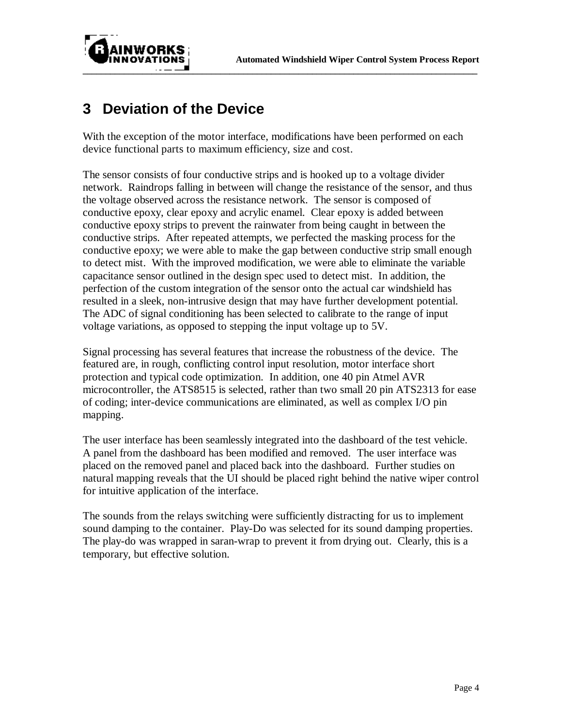

# **3 Deviation of the Device**

With the exception of the motor interface, modifications have been performed on each device functional parts to maximum efficiency, size and cost.

The sensor consists of four conductive strips and is hooked up to a voltage divider network. Raindrops falling in between will change the resistance of the sensor, and thus the voltage observed across the resistance network. The sensor is composed of conductive epoxy, clear epoxy and acrylic enamel. Clear epoxy is added between conductive epoxy strips to prevent the rainwater from being caught in between the conductive strips. After repeated attempts, we perfected the masking process for the conductive epoxy; we were able to make the gap between conductive strip small enough to detect mist. With the improved modification, we were able to eliminate the variable capacitance sensor outlined in the design spec used to detect mist. In addition, the perfection of the custom integration of the sensor onto the actual car windshield has resulted in a sleek, non-intrusive design that may have further development potential. The ADC of signal conditioning has been selected to calibrate to the range of input voltage variations, as opposed to stepping the input voltage up to 5V.

Signal processing has several features that increase the robustness of the device. The featured are, in rough, conflicting control input resolution, motor interface short protection and typical code optimization. In addition, one 40 pin Atmel AVR microcontroller, the ATS8515 is selected, rather than two small 20 pin ATS2313 for ease of coding; inter-device communications are eliminated, as well as complex I/O pin mapping.

The user interface has been seamlessly integrated into the dashboard of the test vehicle. A panel from the dashboard has been modified and removed. The user interface was placed on the removed panel and placed back into the dashboard. Further studies on natural mapping reveals that the UI should be placed right behind the native wiper control for intuitive application of the interface.

The sounds from the relays switching were sufficiently distracting for us to implement sound damping to the container. Play-Do was selected for its sound damping properties. The play-do was wrapped in saran-wrap to prevent it from drying out. Clearly, this is a temporary, but effective solution.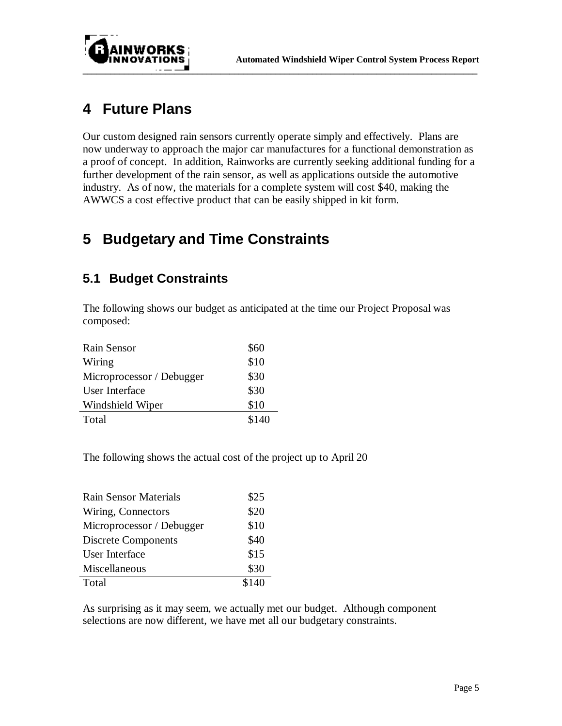

# **4 Future Plans**

Our custom designed rain sensors currently operate simply and effectively. Plans are now underway to approach the major car manufactures for a functional demonstration as a proof of concept. In addition, Rainworks are currently seeking additional funding for a further development of the rain sensor, as well as applications outside the automotive industry. As of now, the materials for a complete system will cost \$40, making the AWWCS a cost effective product that can be easily shipped in kit form.

# **5 Budgetary and Time Constraints**

### **5.1 Budget Constraints**

The following shows our budget as anticipated at the time our Project Proposal was composed:

| Rain Sensor               | \$60  |
|---------------------------|-------|
| Wiring                    | \$10  |
| Microprocessor / Debugger | \$30  |
| User Interface            | \$30  |
| Windshield Wiper          | \$10  |
| Total                     | \$140 |

The following shows the actual cost of the project up to April 20

| <b>Rain Sensor Materials</b> | \$25 |
|------------------------------|------|
| Wiring, Connectors           | \$20 |
| Microprocessor / Debugger    | \$10 |
| Discrete Components          | \$40 |
| User Interface               | \$15 |
| Miscellaneous                | \$30 |
| Total                        |      |

As surprising as it may seem, we actually met our budget. Although component selections are now different, we have met all our budgetary constraints.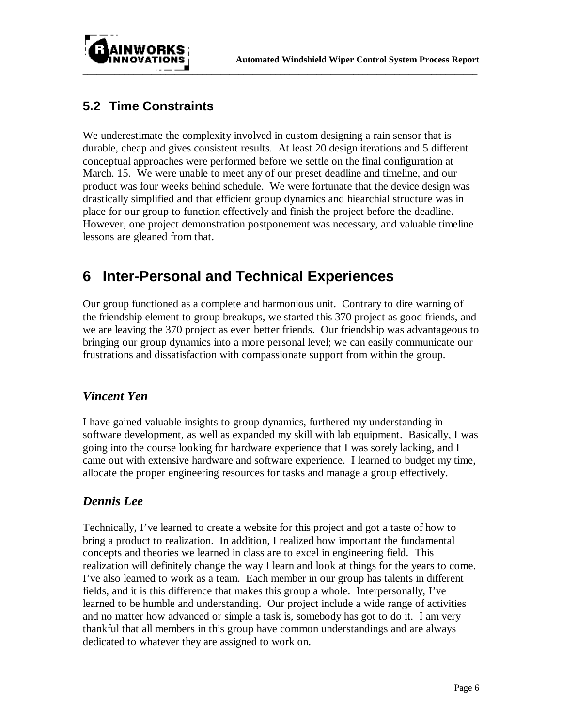

### **5.2 Time Constraints**

We underestimate the complexity involved in custom designing a rain sensor that is durable, cheap and gives consistent results. At least 20 design iterations and 5 different conceptual approaches were performed before we settle on the final configuration at March. 15. We were unable to meet any of our preset deadline and timeline, and our product was four weeks behind schedule. We were fortunate that the device design was drastically simplified and that efficient group dynamics and hiearchial structure was in place for our group to function effectively and finish the project before the deadline. However, one project demonstration postponement was necessary, and valuable timeline lessons are gleaned from that.

### **6 Inter-Personal and Technical Experiences**

Our group functioned as a complete and harmonious unit. Contrary to dire warning of the friendship element to group breakups, we started this 370 project as good friends, and we are leaving the 370 project as even better friends. Our friendship was advantageous to bringing our group dynamics into a more personal level; we can easily communicate our frustrations and dissatisfaction with compassionate support from within the group.

#### *Vincent Yen*

I have gained valuable insights to group dynamics, furthered my understanding in software development, as well as expanded my skill with lab equipment. Basically, I was going into the course looking for hardware experience that I was sorely lacking, and I came out with extensive hardware and software experience. I learned to budget my time, allocate the proper engineering resources for tasks and manage a group effectively.

### *Dennis Lee*

Technically, I've learned to create a website for this project and got a taste of how to bring a product to realization. In addition, I realized how important the fundamental concepts and theories we learned in class are to excel in engineering field. This realization will definitely change the way I learn and look at things for the years to come. I've also learned to work as a team. Each member in our group has talents in different fields, and it is this difference that makes this group a whole. Interpersonally, I've learned to be humble and understanding. Our project include a wide range of activities and no matter how advanced or simple a task is, somebody has got to do it. I am very thankful that all members in this group have common understandings and are always dedicated to whatever they are assigned to work on.